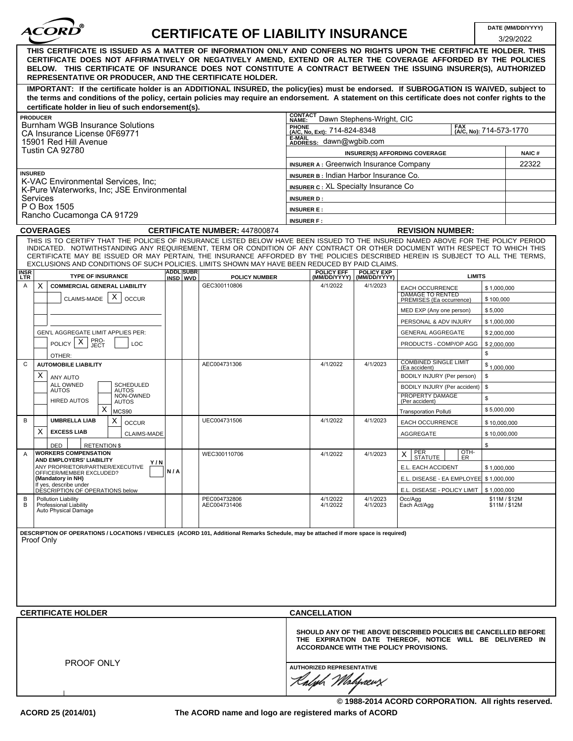| <i><b>ACORD</b></i> |  |
|---------------------|--|
|                     |  |

# **DATE (MM/DD/YYYY) CERTIFICATE OF LIABILITY INSURANCE**

3/29/2022

|                                                                                                               |                            |                              |                                                                                                                                                                                                                                                                                                                                                                                                                  |                                                                                       |                                                |                                                                                                                            | אגעגונג                      |
|---------------------------------------------------------------------------------------------------------------|----------------------------|------------------------------|------------------------------------------------------------------------------------------------------------------------------------------------------------------------------------------------------------------------------------------------------------------------------------------------------------------------------------------------------------------------------------------------------------------|---------------------------------------------------------------------------------------|------------------------------------------------|----------------------------------------------------------------------------------------------------------------------------|------------------------------|
|                                                                                                               |                            |                              | THIS CERTIFICATE IS ISSUED AS A MATTER OF INFORMATION ONLY AND CONFERS NO RIGHTS UPON THE CERTIFICATE HOLDER. THIS<br>CERTIFICATE DOES NOT AFFIRMATIVELY OR NEGATIVELY AMEND, EXTEND OR ALTER THE COVERAGE AFFORDED BY THE POLICIES<br>BELOW. THIS CERTIFICATE OF INSURANCE DOES NOT CONSTITUTE A CONTRACT BETWEEN THE ISSUING INSURER(S), AUTHORIZED<br>REPRESENTATIVE OR PRODUCER, AND THE CERTIFICATE HOLDER. |                                                                                       |                                                |                                                                                                                            |                              |
| certificate holder in lieu of such endorsement(s).                                                            |                            |                              | IMPORTANT: If the certificate holder is an ADDITIONAL INSURED, the policy(ies) must be endorsed. If SUBROGATION IS WAIVED, subject to<br>the terms and conditions of the policy, certain policies may require an endorsement. A statement on this certificate does not confer rights to the                                                                                                                      |                                                                                       |                                                |                                                                                                                            |                              |
| <b>PRODUCER</b>                                                                                               |                            |                              |                                                                                                                                                                                                                                                                                                                                                                                                                  | <b>CONTACT</b><br>NAME:                                                               | Dawn Stephens-Wright, CIC                      |                                                                                                                            |                              |
| Burnham WGB Insurance Solutions<br>CA Insurance License 0F69771<br>15901 Red Hill Avenue                      |                            |                              |                                                                                                                                                                                                                                                                                                                                                                                                                  | <b>FAX</b><br><b>PHONE</b><br>(A/C, No, Ext): 714-824-8348<br>(A/C, No): 714-573-1770 |                                                |                                                                                                                            |                              |
|                                                                                                               |                            |                              |                                                                                                                                                                                                                                                                                                                                                                                                                  | E-MAIL<br>ADDRESS: dawn@wgbib.com                                                     |                                                |                                                                                                                            |                              |
| Tustin CA 92780                                                                                               |                            |                              |                                                                                                                                                                                                                                                                                                                                                                                                                  |                                                                                       | <b>INSURER(S) AFFORDING COVERAGE</b>           |                                                                                                                            | <b>NAIC#</b>                 |
|                                                                                                               |                            |                              |                                                                                                                                                                                                                                                                                                                                                                                                                  | <b>INSURER A: Greenwich Insurance Company</b>                                         |                                                |                                                                                                                            | 22322                        |
| <b>INSURED</b><br>K-VAC Environmental Services, Inc;<br>K-Pure Waterworks, Inc; JSE Environmental<br>Services |                            |                              |                                                                                                                                                                                                                                                                                                                                                                                                                  | INSURER B: Indian Harbor Insurance Co.                                                |                                                |                                                                                                                            |                              |
|                                                                                                               |                            |                              |                                                                                                                                                                                                                                                                                                                                                                                                                  | <b>INSURER C: XL Specialty Insurance Co</b>                                           |                                                |                                                                                                                            |                              |
|                                                                                                               |                            |                              |                                                                                                                                                                                                                                                                                                                                                                                                                  | <b>INSURER D:</b>                                                                     |                                                |                                                                                                                            |                              |
| P O Box 1505<br>Rancho Cucamonga CA 91729                                                                     |                            |                              |                                                                                                                                                                                                                                                                                                                                                                                                                  | <b>INSURER E:</b>                                                                     |                                                |                                                                                                                            |                              |
|                                                                                                               |                            |                              |                                                                                                                                                                                                                                                                                                                                                                                                                  | <b>INSURER F:</b>                                                                     |                                                |                                                                                                                            |                              |
| <b>COVERAGES</b>                                                                                              |                            |                              | <b>CERTIFICATE NUMBER: 447800874</b><br>THIS IS TO CERTIFY THAT THE POLICIES OF INSURANCE LISTED BELOW HAVE BEEN ISSUED TO THE INSURED NAMED ABOVE FOR THE POLICY PERIOD                                                                                                                                                                                                                                         |                                                                                       |                                                | <b>REVISION NUMBER:</b>                                                                                                    |                              |
|                                                                                                               |                            |                              | INDICATED. NOTWITHSTANDING ANY REQUIREMENT, TERM OR CONDITION OF ANY CONTRACT OR OTHER DOCUMENT WITH RESPECT TO WHICH THIS<br>CERTIFICATE MAY BE ISSUED OR MAY PERTAIN, THE INSURANCE AFFORDED BY THE POLICIES DESCRIBED HEREIN IS SUBJECT TO ALL THE TERMS,<br>EXCLUSIONS AND CONDITIONS OF SUCH POLICIES. LIMITS SHOWN MAY HAVE BEEN REDUCED BY PAID CLAIMS.                                                   |                                                                                       |                                                |                                                                                                                            |                              |
| <b>INSR</b><br>LTR<br><b>TYPE OF INSURANCE</b>                                                                |                            | <b>ADDL</b> SUBR<br>INSD WVD | <b>POLICY NUMBER</b>                                                                                                                                                                                                                                                                                                                                                                                             | <b>POLICY EFF</b>                                                                     | <b>POLICY EXP</b><br>(MM/DD/YYYY) (MM/DD/YYYY) | <b>LIMITS</b>                                                                                                              |                              |
| $\times$<br><b>COMMERCIAL GENERAL LIABILITY</b><br>Α                                                          |                            |                              | GEC300110806                                                                                                                                                                                                                                                                                                                                                                                                     | 4/1/2022                                                                              | 4/1/2023                                       | EACH OCCURRENCE                                                                                                            | \$1,000,000                  |
| CLAIMS-MADE                                                                                                   | х<br><b>OCCUR</b>          |                              |                                                                                                                                                                                                                                                                                                                                                                                                                  |                                                                                       |                                                | <b>DAMAGE TO RENTED</b><br>PREMISES (Ea occurrence)                                                                        | \$100,000                    |
|                                                                                                               |                            |                              |                                                                                                                                                                                                                                                                                                                                                                                                                  |                                                                                       |                                                | MED EXP (Any one person)                                                                                                   | \$5,000                      |
|                                                                                                               |                            |                              |                                                                                                                                                                                                                                                                                                                                                                                                                  |                                                                                       |                                                | PERSONAL & ADV INJURY                                                                                                      | \$1,000,000                  |
| GEN'L AGGREGATE LIMIT APPLIES PER:                                                                            |                            |                              |                                                                                                                                                                                                                                                                                                                                                                                                                  |                                                                                       |                                                | <b>GENERAL AGGREGATE</b>                                                                                                   | \$2,000,000                  |
| PRO-<br>JECT<br>X<br><b>POLICY</b>                                                                            | LOC                        |                              |                                                                                                                                                                                                                                                                                                                                                                                                                  |                                                                                       |                                                | PRODUCTS - COMP/OP AGG                                                                                                     | \$2,000,000                  |
| OTHER:                                                                                                        |                            |                              |                                                                                                                                                                                                                                                                                                                                                                                                                  |                                                                                       |                                                |                                                                                                                            | \$                           |
| C<br><b>AUTOMOBILE LIABILITY</b>                                                                              |                            |                              | AEC004731306                                                                                                                                                                                                                                                                                                                                                                                                     | 4/1/2022                                                                              | 4/1/2023                                       | COMBINED SINGLE LIMIT<br>(Ea accident)                                                                                     | \$1,000,000                  |
| X<br>ANY AUTO<br>ALL OWNED                                                                                    | SCHEDULED                  |                              |                                                                                                                                                                                                                                                                                                                                                                                                                  |                                                                                       |                                                | BODILY INJURY (Per person)                                                                                                 | \$<br>\$                     |
| <b>AUTOS</b>                                                                                                  | AUTOS<br>NON-OWNED         |                              |                                                                                                                                                                                                                                                                                                                                                                                                                  |                                                                                       |                                                | BODILY INJURY (Per accident)<br>PROPERTY DAMAGE<br>(Per accident)                                                          | \$                           |
| <b>HIRED AUTOS</b><br>х                                                                                       | <b>AUTOS</b>               |                              |                                                                                                                                                                                                                                                                                                                                                                                                                  |                                                                                       |                                                |                                                                                                                            | \$5,000,000                  |
| В<br><b>UMBRELLA LIAB</b>                                                                                     | MCS90<br>X<br><b>OCCUR</b> |                              | UEC004731506                                                                                                                                                                                                                                                                                                                                                                                                     | 4/1/2022                                                                              | 4/1/2023                                       | <b>Transporation Polluti</b><br><b>EACH OCCURRENCE</b>                                                                     |                              |
| X<br><b>EXCESS LIAB</b>                                                                                       | <b>CLAIMS-MADE</b>         |                              |                                                                                                                                                                                                                                                                                                                                                                                                                  |                                                                                       |                                                | AGGREGATE                                                                                                                  | \$10,000,000<br>\$10,000,000 |
| DED<br><b>RETENTION \$</b>                                                                                    |                            |                              |                                                                                                                                                                                                                                                                                                                                                                                                                  |                                                                                       |                                                |                                                                                                                            | \$                           |
| <b>WORKERS COMPENSATION</b><br>A                                                                              |                            |                              | WEC300110706                                                                                                                                                                                                                                                                                                                                                                                                     | 4/1/2022                                                                              | 4/1/2023                                       | $rac{Q}{ER}$<br>PER<br>STATUTE<br>$\times$                                                                                 |                              |
| <b>AND EMPLOYERS' LIABILITY</b><br>ANY PROPRIETOR/PARTNER/EXECUTIVE                                           | Y/N                        |                              |                                                                                                                                                                                                                                                                                                                                                                                                                  |                                                                                       |                                                | E.L. EACH ACCIDENT                                                                                                         | \$1,000,000                  |
| OFFICER/MEMBER EXCLUDED?<br>(Mandatory in NH)                                                                 |                            | N/A                          |                                                                                                                                                                                                                                                                                                                                                                                                                  |                                                                                       |                                                | E.L. DISEASE - EA EMPLOYEE \$1,000,000                                                                                     |                              |
| If yes, describe under<br>DÉSCRIPTION OF OPERATIONS below                                                     |                            |                              |                                                                                                                                                                                                                                                                                                                                                                                                                  |                                                                                       |                                                | E.L. DISEASE - POLICY LIMIT   \$1,000,000                                                                                  |                              |
| В<br><b>Pollution Liability</b><br>B<br>Professional Liability<br>Auto Physical Damage                        |                            |                              | PEC004732806<br>AEC004731406                                                                                                                                                                                                                                                                                                                                                                                     | 4/1/2022<br>4/1/2022                                                                  | 4/1/2023<br>4/1/2023                           | Occ/Agg<br>Each Act/Agg                                                                                                    | \$11M/\$12M<br>\$11M / \$12M |
| Proof Only                                                                                                    |                            |                              | DESCRIPTION OF OPERATIONS / LOCATIONS / VEHICLES (ACORD 101, Additional Remarks Schedule, may be attached if more space is required)                                                                                                                                                                                                                                                                             |                                                                                       |                                                |                                                                                                                            |                              |
| <b>CERTIFICATE HOLDER</b>                                                                                     |                            |                              |                                                                                                                                                                                                                                                                                                                                                                                                                  | <b>CANCELLATION</b>                                                                   |                                                |                                                                                                                            |                              |
|                                                                                                               |                            |                              |                                                                                                                                                                                                                                                                                                                                                                                                                  |                                                                                       | <b>ACCORDANCE WITH THE POLICY PROVISIONS.</b>  | SHOULD ANY OF THE ABOVE DESCRIBED POLICIES BE CANCELLED BEFORE<br>THE EXPIRATION DATE THEREOF, NOTICE WILL BE DELIVERED IN |                              |
| PROOF ONLY                                                                                                    |                            |                              |                                                                                                                                                                                                                                                                                                                                                                                                                  | <b>AUTHORIZED REPRESENTATIVE</b><br>aløh Mohrævs                                      |                                                |                                                                                                                            |                              |

**The ACORD name and logo are registered marks of ACORD**

**© 1988-2014 ACORD CORPORATION. All rights reserved.**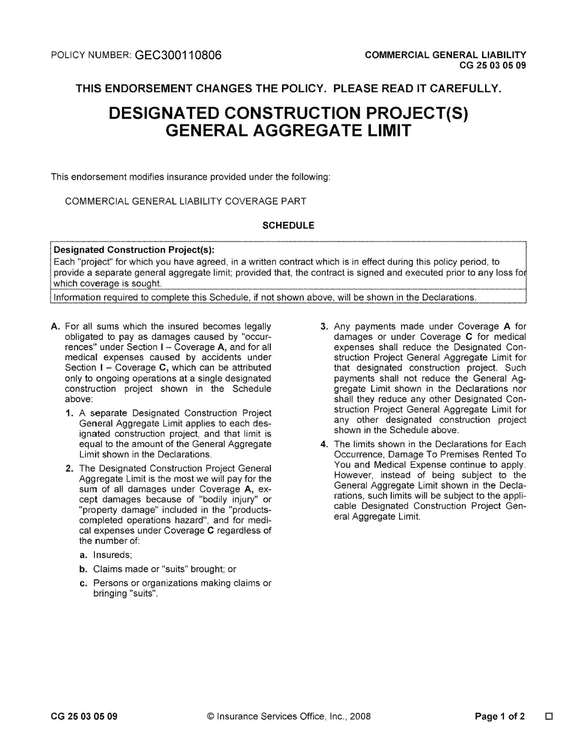THIS ENDORSEMENT CHANGES THE POLICY. PLEASE READ IT CAREFULLY.

## **DESIGNATED CONSTRUCTION PROJECT(S) GENERAL AGGREGATE LIMIT**

This endorsement modifies insurance provided under the following:

### COMMERCIAL GENERAL LIABILITY COVERAGE PART

### **SCHEDULE**

#### **Designated Construction Project(s):**

Each "project" for which you have agreed, in a written contract which is in effect during this policy period, to provide a separate general aggregate limit; provided that, the contract is signed and executed prior to any loss for which coverage is sought.

Information required to complete this Schedule, if not shown above, will be shown in the Declarations.

- A. For all sums which the insured becomes legally obligated to pay as damages caused by "occurrences" under Section I - Coverage A, and for all medical expenses caused by accidents under Section  $I -$  Coverage C, which can be attributed only to ongoing operations at a single designated construction project shown in the Schedule ahove:
	- 1. A separate Designated Construction Project General Aggregate Limit applies to each designated construction project, and that limit is equal to the amount of the General Aggregate Limit shown in the Declarations.
	- 2. The Designated Construction Project General Aggregate Limit is the most we will pay for the sum of all damages under Coverage A, except damages because of "bodily injury" or "property damage" included in the "productscompleted operations hazard", and for medical expenses under Coverage C regardless of the number of:
		- a. Insureds;
		- **b.** Claims made or "suits" brought; or
		- c. Persons or organizations making claims or bringing "suits".
- 3. Any payments made under Coverage A for damages or under Coverage C for medical expenses shall reduce the Designated Construction Project General Aggregate Limit for that designated construction project. Such payments shall not reduce the General Aggregate Limit shown in the Declarations nor shall they reduce any other Designated Construction Project General Aggregate Limit for any other designated construction project shown in the Schedule above.
- 4. The limits shown in the Declarations for Each Occurrence, Damage To Premises Rented To You and Medical Expense continue to apply. However, instead of being subject to the General Aggregate Limit shown in the Declarations, such limits will be subject to the applicable Designated Construction Project General Aggregate Limit.